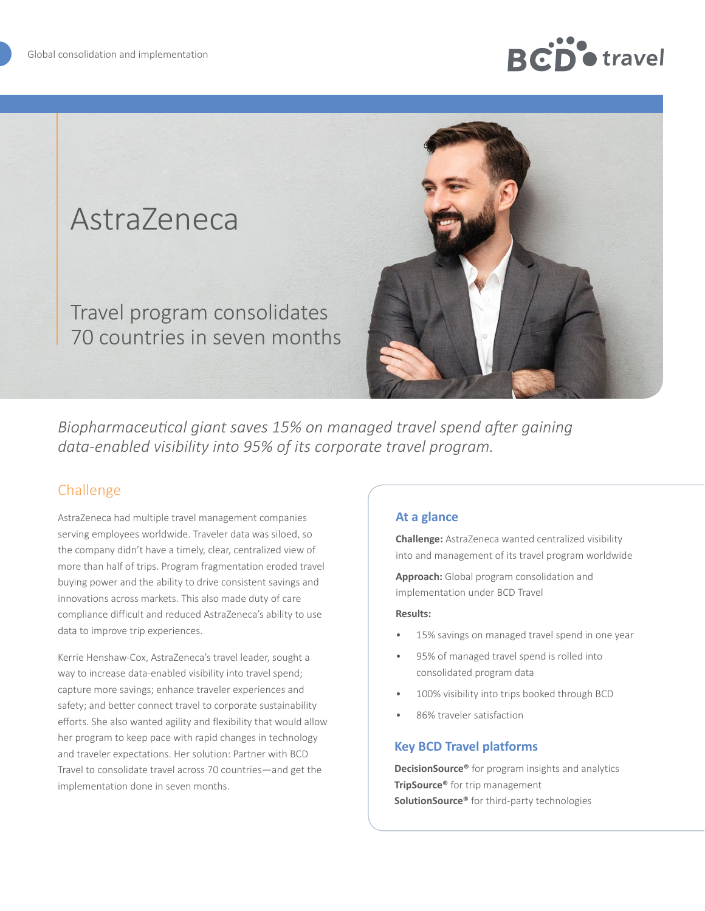# **Do** travel

# AstraZeneca

Travel program consolidates 70 countries in seven months



*Biopharmaceutical giant saves 15% on managed travel spend after gaining data-enabled visibility into 95% of its corporate travel program.*

# Challenge

AstraZeneca had multiple travel management companies serving employees worldwide. Traveler data was siloed, so the company didn't have a timely, clear, centralized view of more than half of trips. Program fragmentation eroded travel buying power and the ability to drive consistent savings and innovations across markets. This also made duty of care compliance difficult and reduced AstraZeneca's ability to use data to improve trip experiences.

Kerrie Henshaw-Cox, AstraZeneca's travel leader, sought a way to increase data-enabled visibility into travel spend; capture more savings; enhance traveler experiences and safety; and better connect travel to corporate sustainability efforts. She also wanted agility and flexibility that would allow her program to keep pace with rapid changes in technology and traveler expectations. Her solution: Partner with BCD Travel to consolidate travel across 70 countries—and get the implementation done in seven months.

### **At a glance**

**Challenge:** AstraZeneca wanted centralized visibility into and management of its travel program worldwide

**Approach:** Global program consolidation and implementation under BCD Travel

#### **Results:**

- 15% savings on managed travel spend in one year
- 95% of managed travel spend is rolled into consolidated program data
- 100% visibility into trips booked through BCD
- 86% traveler satisfaction

#### **Key BCD Travel platforms**

**DecisionSource®** for program insights and analytics **TripSource®** for trip management **SolutionSource®** for third-party technologies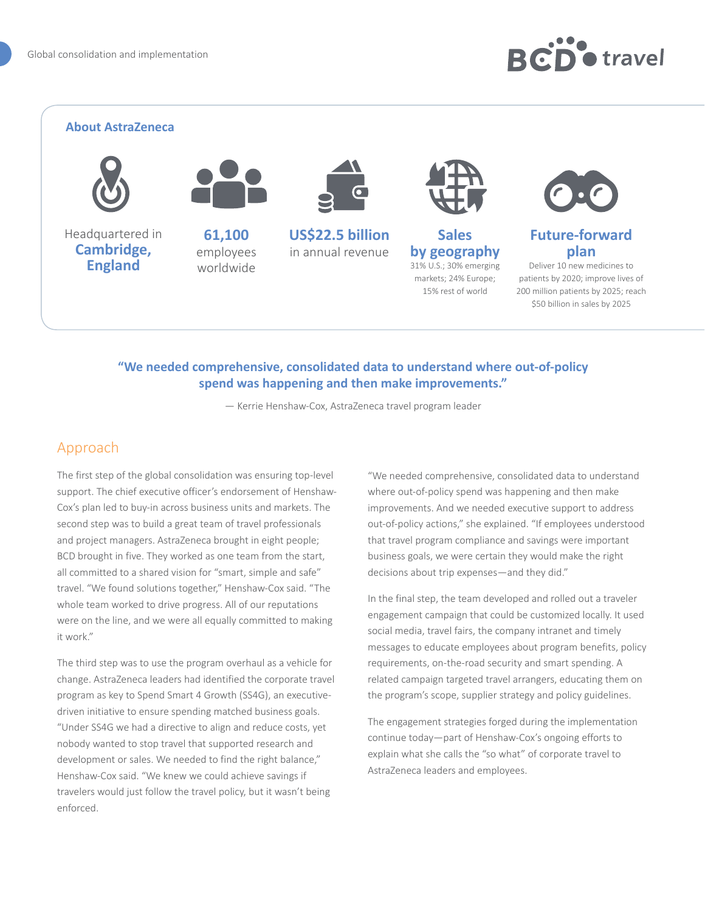# **RCD** e travel

#### **About AstraZeneca**



Headquartered in **Cambridge, England**



employees worldwide



**US\$22.5 billion**  in annual revenue



**Sales by geography** 31% U.S.; 30% emerging markets; 24% Europe; 15% rest of world



### **Future-forward plan**

Deliver 10 new medicines to patients by 2020; improve lives of 200 million patients by 2025; reach \$50 billion in sales by 2025

#### **"We needed comprehensive, consolidated data to understand where out-of-policy spend was happening and then make improvements."**

— Kerrie Henshaw-Cox, AstraZeneca travel program leader

## Approach

The first step of the global consolidation was ensuring top-level support. The chief executive officer's endorsement of Henshaw-Cox's plan led to buy-in across business units and markets. The second step was to build a great team of travel professionals and project managers. AstraZeneca brought in eight people; BCD brought in five. They worked as one team from the start, all committed to a shared vision for "smart, simple and safe" travel. "We found solutions together," Henshaw-Cox said. "The whole team worked to drive progress. All of our reputations were on the line, and we were all equally committed to making it work."

The third step was to use the program overhaul as a vehicle for change. AstraZeneca leaders had identified the corporate travel program as key to Spend Smart 4 Growth (SS4G), an executivedriven initiative to ensure spending matched business goals. "Under SS4G we had a directive to align and reduce costs, yet nobody wanted to stop travel that supported research and development or sales. We needed to find the right balance," Henshaw-Cox said. "We knew we could achieve savings if travelers would just follow the travel policy, but it wasn't being enforced.

"We needed comprehensive, consolidated data to understand where out-of-policy spend was happening and then make improvements. And we needed executive support to address out-of-policy actions," she explained. "If employees understood that travel program compliance and savings were important business goals, we were certain they would make the right decisions about trip expenses—and they did."

In the final step, the team developed and rolled out a traveler engagement campaign that could be customized locally. It used social media, travel fairs, the company intranet and timely messages to educate employees about program benefits, policy requirements, on-the-road security and smart spending. A related campaign targeted travel arrangers, educating them on the program's scope, supplier strategy and policy guidelines.

The engagement strategies forged during the implementation continue today—part of Henshaw-Cox's ongoing efforts to explain what she calls the "so what" of corporate travel to AstraZeneca leaders and employees.